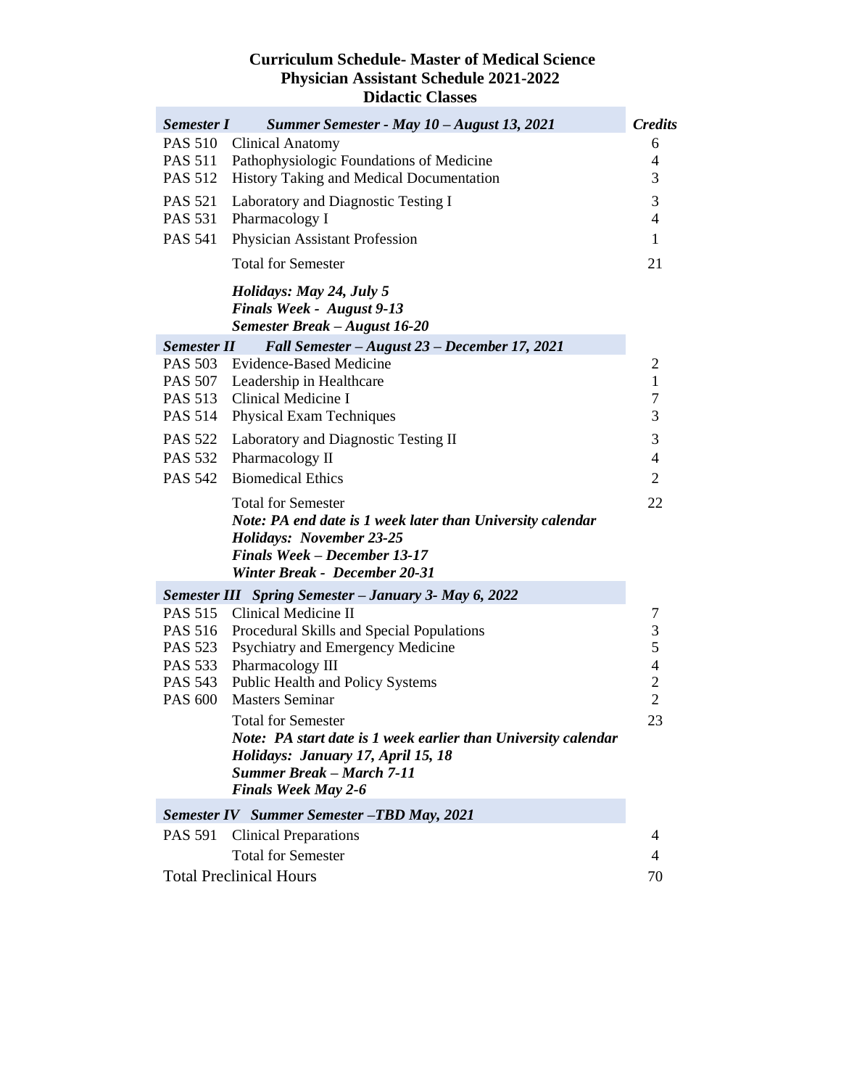## **Curriculum Schedule- Master of Medical Science Physician Assistant Schedule 2021-2022 Didactic Classes**

| <b>Semester I</b>                | Summer Semester - May 10 - August 13, 2021                                                                                                                                                         | <b>Credits</b>                             |
|----------------------------------|----------------------------------------------------------------------------------------------------------------------------------------------------------------------------------------------------|--------------------------------------------|
| <b>PAS 510</b>                   | <b>Clinical Anatomy</b>                                                                                                                                                                            | 6                                          |
| <b>PAS 511</b>                   | Pathophysiologic Foundations of Medicine                                                                                                                                                           | 4                                          |
| <b>PAS 512</b>                   | History Taking and Medical Documentation                                                                                                                                                           | 3                                          |
| <b>PAS 521</b>                   | Laboratory and Diagnostic Testing I                                                                                                                                                                | 3                                          |
| <b>PAS 531</b>                   | Pharmacology I                                                                                                                                                                                     | 4                                          |
| <b>PAS 541</b>                   | Physician Assistant Profession                                                                                                                                                                     | 1                                          |
|                                  | <b>Total for Semester</b>                                                                                                                                                                          | 21                                         |
|                                  | Holidays: May 24, July 5<br><b>Finals Week - August 9-13</b><br>Semester Break - August 16-20                                                                                                      |                                            |
| <b>Semester II</b>               | Fall Semester - August 23 - December 17, 2021                                                                                                                                                      |                                            |
| PAS 503                          | Evidence-Based Medicine                                                                                                                                                                            | 2                                          |
|                                  | PAS 507 Leadership in Healthcare                                                                                                                                                                   | $\mathbf{1}$                               |
|                                  | PAS 513 Clinical Medicine I                                                                                                                                                                        | $\tau$                                     |
| <b>PAS 514</b>                   | <b>Physical Exam Techniques</b>                                                                                                                                                                    | 3                                          |
| <b>PAS 522</b>                   | Laboratory and Diagnostic Testing II                                                                                                                                                               | 3                                          |
| <b>PAS 532</b>                   | Pharmacology II                                                                                                                                                                                    | 4                                          |
| <b>PAS 542</b>                   | <b>Biomedical Ethics</b>                                                                                                                                                                           | $\overline{2}$                             |
|                                  | <b>Total for Semester</b><br>Note: PA end date is 1 week later than University calendar<br><b>Holidays: November 23-25</b><br><b>Finals Week - December 13-17</b><br>Winter Break - December 20-31 | 22                                         |
|                                  | <b>Semester III</b> Spring Semester - January 3- May 6, 2022                                                                                                                                       |                                            |
|                                  | PAS 515 Clinical Medicine II                                                                                                                                                                       | 7                                          |
| PAS 516                          | <b>Procedural Skills and Special Populations</b>                                                                                                                                                   | $\mathfrak{Z}$                             |
| <b>PAS 523</b>                   | Psychiatry and Emergency Medicine                                                                                                                                                                  | 5                                          |
| <b>PAS 533</b><br><b>PAS 543</b> | Pharmacology III<br>Public Health and Policy Systems                                                                                                                                               | $\overline{\mathcal{L}}$<br>$\overline{c}$ |
| <b>PAS 600</b>                   | <b>Masters Seminar</b>                                                                                                                                                                             | $\overline{2}$                             |
|                                  | <b>Total for Semester</b>                                                                                                                                                                          | 23                                         |
|                                  | Note: PA start date is 1 week earlier than University calendar<br>Holidays: January 17, April 15, 18<br><b>Summer Break – March 7-11</b><br><b>Finals Week May 2-6</b>                             |                                            |
|                                  | <b>Semester IV</b> Summer Semester -TBD May, 2021                                                                                                                                                  |                                            |
| <b>PAS 591</b>                   | <b>Clinical Preparations</b>                                                                                                                                                                       | 4                                          |
|                                  | <b>Total for Semester</b>                                                                                                                                                                          | $\overline{\mathcal{A}}$                   |
|                                  | <b>Total Preclinical Hours</b>                                                                                                                                                                     | 70                                         |